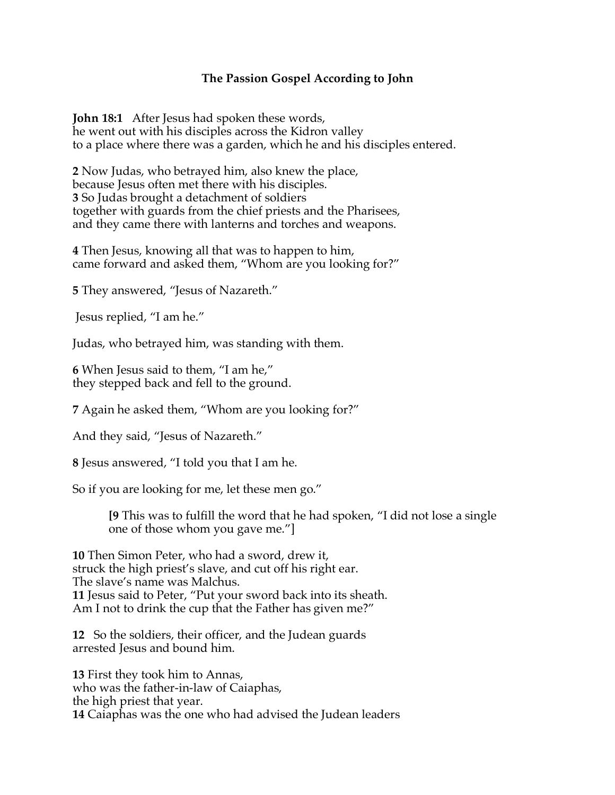## **The Passion Gospel According to John**

**John 18:1** After Jesus had spoken these words, he went out with his disciples across the Kidron valley to a place where there was a garden, which he and his disciples entered.

**2** Now Judas, who betrayed him, also knew the place, because Jesus often met there with his disciples. **3** So Judas brought a detachment of soldiers together with guards from the chief priests and the Pharisees, and they came there with lanterns and torches and weapons.

**4** Then Jesus, knowing all that was to happen to him, came forward and asked them, "Whom are you looking for?"

**5** They answered, "Jesus of Nazareth."

Jesus replied, "I am he."

Judas, who betrayed him, was standing with them.

**6** When Jesus said to them, "I am he," they stepped back and fell to the ground.

**7** Again he asked them, "Whom are you looking for?"

And they said, "Jesus of Nazareth."

**8** Jesus answered, "I told you that I am he.

So if you are looking for me, let these men go."

**[9** This was to fulfill the word that he had spoken, "I did not lose a single one of those whom you gave me."]

**10** Then Simon Peter, who had a sword, drew it, struck the high priest's slave, and cut off his right ear. The slave's name was Malchus. **11** Jesus said to Peter, "Put your sword back into its sheath. Am I not to drink the cup that the Father has given me?"

**12** So the soldiers, their officer, and the Judean guards arrested Jesus and bound him.

**13** First they took him to Annas, who was the father-in-law of Caiaphas, the high priest that year. **14** Caiaphas was the one who had advised the Judean leaders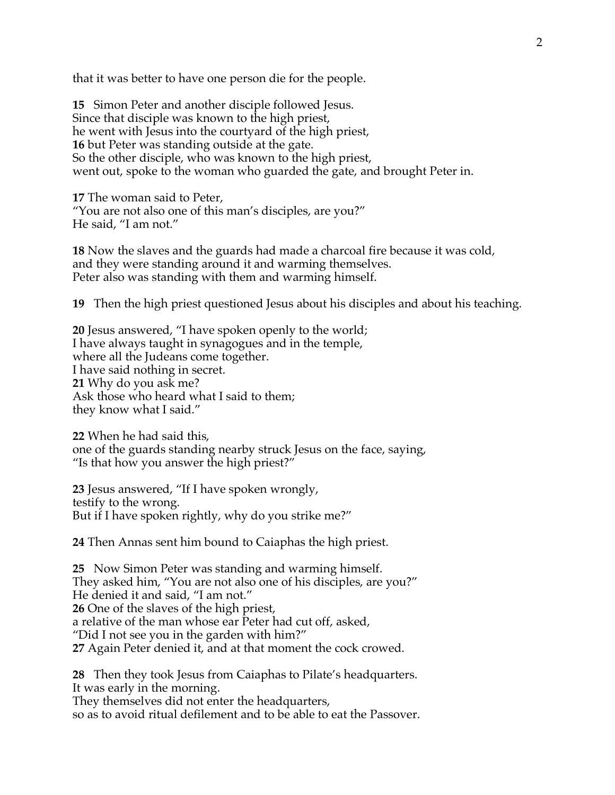that it was better to have one person die for the people.

**15** Simon Peter and another disciple followed Jesus. Since that disciple was known to the high priest, he went with Jesus into the courtyard of the high priest, **16** but Peter was standing outside at the gate. So the other disciple, who was known to the high priest, went out, spoke to the woman who guarded the gate, and brought Peter in.

**17** The woman said to Peter, "You are not also one of this man's disciples, are you?" He said, "I am not."

**18** Now the slaves and the guards had made a charcoal fire because it was cold, and they were standing around it and warming themselves. Peter also was standing with them and warming himself.

**19** Then the high priest questioned Jesus about his disciples and about his teaching.

**20** Jesus answered, "I have spoken openly to the world; I have always taught in synagogues and in the temple, where all the Judeans come together. I have said nothing in secret. **21** Why do you ask me? Ask those who heard what I said to them; they know what I said."

**22** When he had said this, one of the guards standing nearby struck Jesus on the face, saying, "Is that how you answer the high priest?"

**23** Jesus answered, "If I have spoken wrongly, testify to the wrong. But if I have spoken rightly, why do you strike me?"

**24** Then Annas sent him bound to Caiaphas the high priest.

**25** Now Simon Peter was standing and warming himself. They asked him, "You are not also one of his disciples, are you?" He denied it and said, "I am not." **26** One of the slaves of the high priest, a relative of the man whose ear Peter had cut off, asked, "Did I not see you in the garden with him?" **27** Again Peter denied it, and at that moment the cock crowed.

**28** Then they took Jesus from Caiaphas to Pilate's headquarters. It was early in the morning.

They themselves did not enter the headquarters, so as to avoid ritual defilement and to be able to eat the Passover.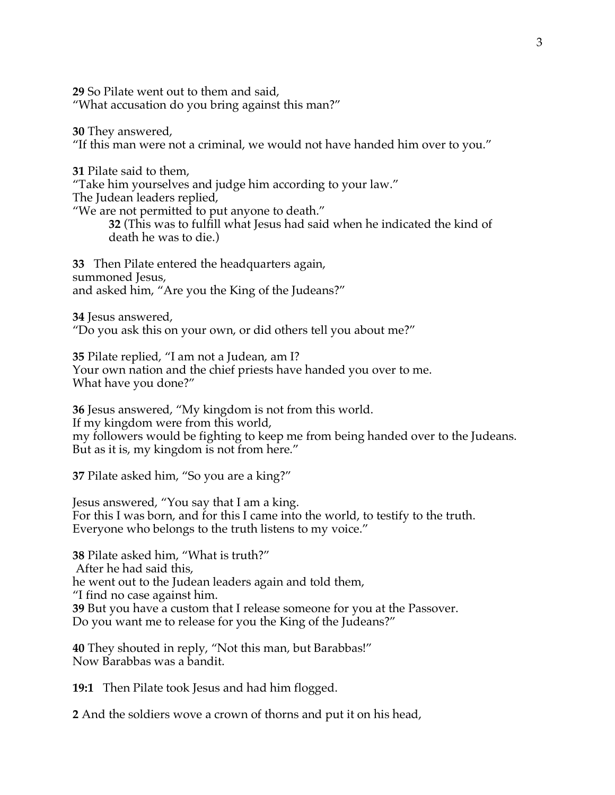**29** So Pilate went out to them and said, "What accusation do you bring against this man?"

**30** They answered, "If this man were not a criminal, we would not have handed him over to you."

**31** Pilate said to them, "Take him yourselves and judge him according to your law." The Judean leaders replied, "We are not permitted to put anyone to death." **32** (This was to fulfill what Jesus had said when he indicated the kind of death he was to die.)

**33** Then Pilate entered the headquarters again, summoned Jesus, and asked him, "Are you the King of the Judeans?"

**34** Jesus answered, "Do you ask this on your own, or did others tell you about me?"

**35** Pilate replied, "I am not a Judean, am I? Your own nation and the chief priests have handed you over to me. What have you done?"

**36** Jesus answered, "My kingdom is not from this world. If my kingdom were from this world, my followers would be fighting to keep me from being handed over to the Judeans. But as it is, my kingdom is not from here."

**37** Pilate asked him, "So you are a king?"

Jesus answered, "You say that I am a king. For this I was born, and for this I came into the world, to testify to the truth. Everyone who belongs to the truth listens to my voice."

**38** Pilate asked him, "What is truth?" After he had said this, he went out to the Judean leaders again and told them, "I find no case against him. **39** But you have a custom that I release someone for you at the Passover. Do you want me to release for you the King of the Judeans?"

**40** They shouted in reply, "Not this man, but Barabbas!" Now Barabbas was a bandit.

**19:1** Then Pilate took Jesus and had him flogged.

**2** And the soldiers wove a crown of thorns and put it on his head,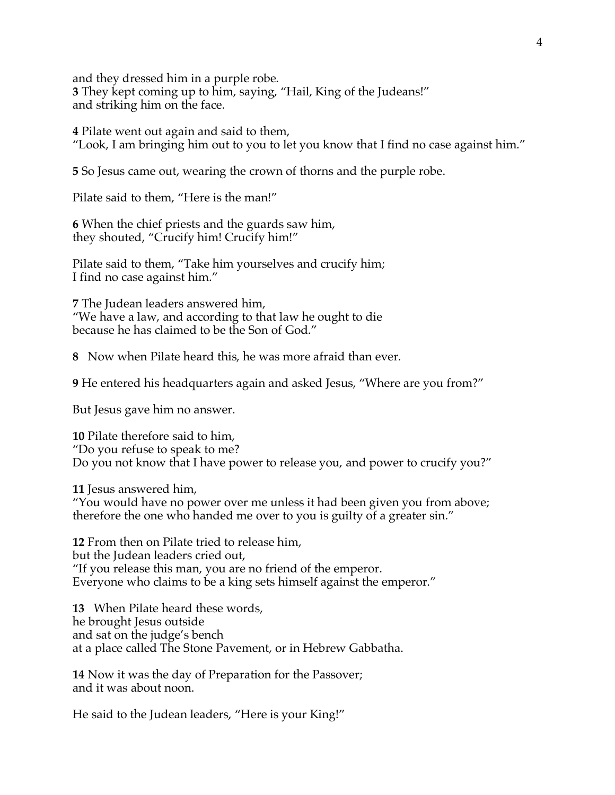and they dressed him in a purple robe. **3** They kept coming up to him, saying, "Hail, King of the Judeans!" and striking him on the face.

**4** Pilate went out again and said to them, "Look, I am bringing him out to you to let you know that I find no case against him."

**5** So Jesus came out, wearing the crown of thorns and the purple robe.

Pilate said to them, "Here is the man!"

**6** When the chief priests and the guards saw him, they shouted, "Crucify him! Crucify him!"

Pilate said to them, "Take him yourselves and crucify him; I find no case against him."

**7** The Judean leaders answered him, "We have a law, and according to that law he ought to die because he has claimed to be the Son of God."

**8** Now when Pilate heard this, he was more afraid than ever.

**9** He entered his headquarters again and asked Jesus, "Where are you from?"

But Jesus gave him no answer.

**10** Pilate therefore said to him, "Do you refuse to speak to me? Do you not know that I have power to release you, and power to crucify you?"

**11** Jesus answered him, "You would have no power over me unless it had been given you from above; therefore the one who handed me over to you is guilty of a greater sin."

**12** From then on Pilate tried to release him, but the Judean leaders cried out, "If you release this man, you are no friend of the emperor. Everyone who claims to be a king sets himself against the emperor."

**13** When Pilate heard these words, he brought Jesus outside and sat on the judge's bench at a place called The Stone Pavement, or in Hebrew Gabbatha.

**14** Now it was the day of Preparation for the Passover; and it was about noon.

He said to the Judean leaders, "Here is your King!"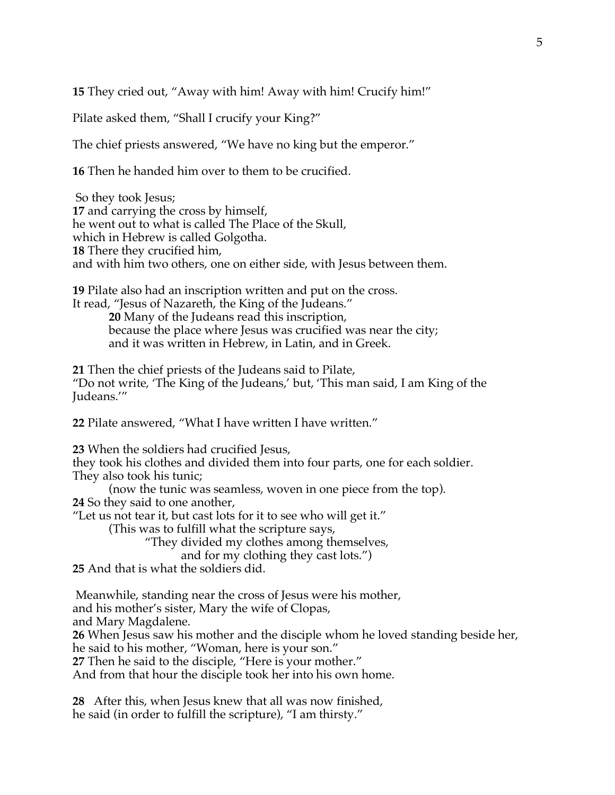**15** They cried out, "Away with him! Away with him! Crucify him!"

Pilate asked them, "Shall I crucify your King?"

The chief priests answered, "We have no king but the emperor."

**16** Then he handed him over to them to be crucified.

So they took Jesus; **17** and carrying the cross by himself, he went out to what is called The Place of the Skull, which in Hebrew is called Golgotha. **18** There they crucified him, and with him two others, one on either side, with Jesus between them.

**19** Pilate also had an inscription written and put on the cross. It read, "Jesus of Nazareth, the King of the Judeans."

> **20** Many of the Judeans read this inscription, because the place where Jesus was crucified was near the city; and it was written in Hebrew, in Latin, and in Greek.

**21** Then the chief priests of the Judeans said to Pilate, "Do not write, 'The King of the Judeans,' but, 'This man said, I am King of the Judeans.'"

**22** Pilate answered, "What I have written I have written."

**23** When the soldiers had crucified Jesus,

they took his clothes and divided them into four parts, one for each soldier. They also took his tunic;

(now the tunic was seamless, woven in one piece from the top).

**24** So they said to one another,

"Let us not tear it, but cast lots for it to see who will get it."

(This was to fulfill what the scripture says,

"They divided my clothes among themselves,

and for my clothing they cast lots.")

**25** And that is what the soldiers did.

Meanwhile, standing near the cross of Jesus were his mother, and his mother's sister, Mary the wife of Clopas, and Mary Magdalene. **26** When Jesus saw his mother and the disciple whom he loved standing beside her, he said to his mother, "Woman, here is your son."

**27** Then he said to the disciple, "Here is your mother."

And from that hour the disciple took her into his own home.

**28** After this, when Jesus knew that all was now finished, he said (in order to fulfill the scripture), "I am thirsty."